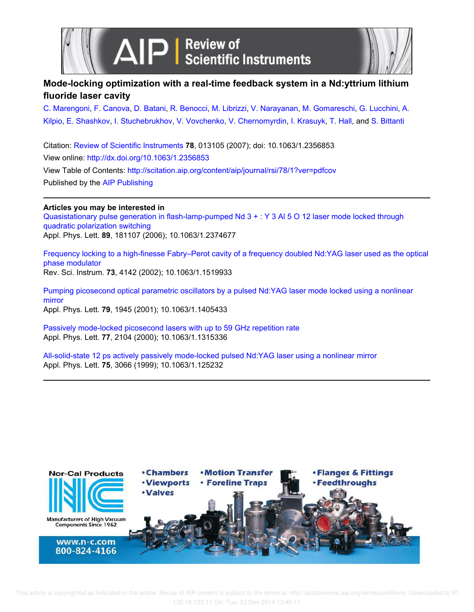



## **Mode-locking optimization with a real-time feedback system in a Nd:yttrium lithium fluoride laser cavity**

C. Marengoni, F. Canova, D. Batani, R. Benocci, M. Librizzi, V. Narayanan, M. Gomareschi, G. Lucchini, A. Kilpio, E. Shashkov, I. Stuchebrukhov, V. Vovchenko, V. Chernomyrdin, I. Krasuyk, T. Hall, and S. Bittanti

Citation: Review of Scientific Instruments **78**, 013105 (2007); doi: 10.1063/1.2356853 View online: http://dx.doi.org/10.1063/1.2356853 View Table of Contents: http://scitation.aip.org/content/aip/journal/rsi/78/1?ver=pdfcov Published by the AIP Publishing

**Articles you may be interested in** Quasistationary pulse generation in flash-lamp-pumped Nd 3 + : Y 3 Al 5 O 12 laser mode locked through quadratic polarization switching Appl. Phys. Lett. **89**, 181107 (2006); 10.1063/1.2374677

Frequency locking to a high-finesse Fabry–Perot cavity of a frequency doubled Nd:YAG laser used as the optical phase modulator Rev. Sci. Instrum. **73**, 4142 (2002); 10.1063/1.1519933

Pumping picosecond optical parametric oscillators by a pulsed Nd:YAG laser mode locked using a nonlinear mirror Appl. Phys. Lett. **79**, 1945 (2001); 10.1063/1.1405433

Passively mode-locked picosecond lasers with up to 59 GHz repetition rate Appl. Phys. Lett. **77**, 2104 (2000); 10.1063/1.1315336

All-solid-state 12 ps actively passively mode-locked pulsed Nd:YAG laser using a nonlinear mirror Appl. Phys. Lett. **75**, 3066 (1999); 10.1063/1.125232



 This article is copyrighted as indicated in the article. Reuse of AIP content is subject to the terms at: http://scitationnew.aip.org/termsconditions. Downloaded to IP: 130.18.123.11 On: Tue, 23 Dec 2014 13:45:11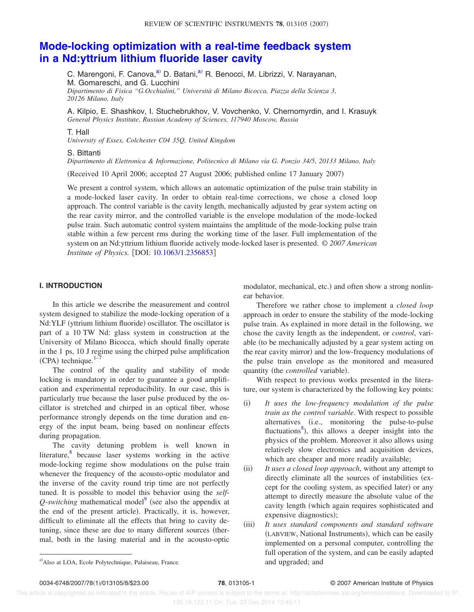# **Mode-locking optimization with a real-time feedback system in a Nd:yttrium lithium fluoride laser cavity**

C. Marengoni, F. Canova,<sup>a)</sup> D. Batani,<sup>a)</sup> R. Benocci, M. Librizzi, V. Narayanan, M. Gomareschi, and G. Lucchini *Dipartimento di Fisica "G.Occhialini," Università di Milano Bicocca, Piazza della Scienza 3, 20126 Milano, Italy*

A. Kilpio, E. Shashkov, I. Stuchebrukhov, V. Vovchenko, V. Chernomyrdin, and I. Krasuyk *General Physics Institute, Russian Academy of Sciences, 117940 Moscow, Russia*

#### T. Hall

*University of Essex, Colchester C04 35Q, United Kingdom*

#### S. Bittanti

*Dipartimento di Elettronica & Informazione, Politecnico di Milano via G. Ponzio 34/5, 20133 Milano, Italy*

Received 10 April 2006; accepted 27 August 2006; published online 17 January 2007-

We present a control system, which allows an automatic optimization of the pulse train stability in a mode-locked laser cavity. In order to obtain real-time corrections, we chose a closed loop approach. The control variable is the cavity length, mechanically adjusted by gear system acting on the rear cavity mirror, and the controlled variable is the envelope modulation of the mode-locked pulse train. Such automatic control system maintains the amplitude of the mode-locking pulse train stable within a few percent rms during the working time of the laser. Full implementation of the system on an Nd:yttrium lithium fluoride actively mode-locked laser is presented. *© 2007 American Institute of Physics.* [DOI: 10.1063/1.2356853]

### **I. INTRODUCTION**

In this article we describe the measurement and control system designed to stabilize the mode-locking operation of a Nd:YLF (yttrium lithium fluoride) oscillator. The oscillator is part of a 10 TW Nd: glass system in construction at the University of Milano Bicocca, which should finally operate in the 1 ps, 10 J regime using the chirped pulse amplification  $(CPA)$  technique.<sup>1–7</sup>

The control of the quality and stability of mode locking is mandatory in order to guarantee a good amplification and experimental reproducibility. In our case, this is particularly true because the laser pulse produced by the oscillator is stretched and chirped in an optical fiber, whose performance strongly depends on the time duration and energy of the input beam, being based on nonlinear effects during propagation.

The cavity detuning problem is well known in literature,<sup>8</sup> because laser systems working in the active mode-locking regime show modulations on the pulse train whenever the frequency of the acousto-optic modulator and the inverse of the cavity round trip time are not perfectly tuned. It is possible to model this behavior using the *self*- $Q$ -*switching* mathematical model<sup>9</sup> (see also the appendix at the end of the present article). Practically, it is, however, difficult to eliminate all the effects that bring to cavity detuning, since these are due to many different sources (thermal, both in the lasing material and in the acousto-optic

modulator, mechanical, etc.) and often show a strong nonlinear behavior.

Therefore we rather chose to implement a *closed loop* approach in order to ensure the stability of the mode-locking pulse train. As explained in more detail in the following, we chose the cavity length as the independent, or *control*, variable (to be mechanically adjusted by a gear system acting on the rear cavity mirror) and the low-frequency modulations of the pulse train envelope as the monitored and measured quantity (the *controlled* variable).

With respect to previous works presented in the literature, our system is characterized by the following key points:

- $(i)$  *It uses the low-frequency modulation of the pulse train as the control variable*. With respect to possible alternatives (i.e., monitoring the pulse-to-pulse fluctuations<sup>8</sup>), this allows a deeper insight into the physics of the problem. Moreover it also allows using relatively slow electronics and acquisition devices, which are cheaper and more readily available;
- $(ii)$  *It uses a closed loop approach*, without any attempt to directly eliminate all the sources of instabilities (except for the cooling system, as specified later) or any attempt to directly measure the absolute value of the cavity length (which again requires sophisticated and expensive diagnostics);
- $(iii)$  *It uses standard components and standard software* (LABVIEW, National Instruments), which can be easily implemented on a personal computer, controlling the full operation of the system, and can be easily adapted a) Also at LOA, Ecole Polytechnique, Palaiseau, France. and and upgraded; and upgraded; and

0034-6748/2007/78(1)/013105/8/\$23.00

## **178**, 013105-1 © 2007 American Institute of Physics

 This article is copyrighted as indicated in the article. Reuse of AIP content is subject to the terms at: http://scitationnew.aip.org/termsconditions. Downloaded to IP: 130.18.123.11 On: Tue, 23 Dec 2014 13:45:11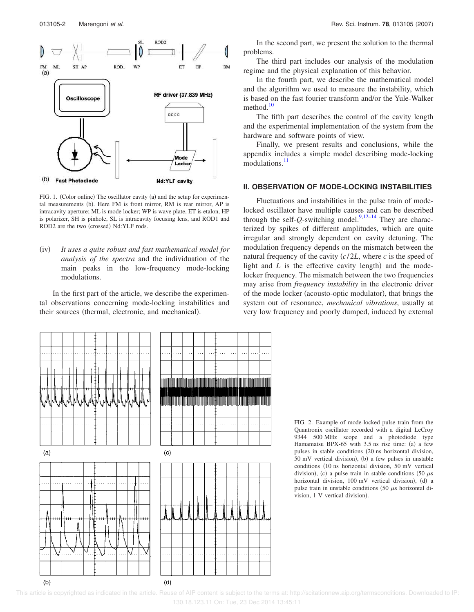

FIG. 1. (Color online) The oscillator cavity (a) and the setup for experimental measurements (b). Here FM is front mirror, RM is rear mirror, AP is intracavity aperture; ML is mode locker; WP is wave plate, ET is etalon, HP is polarizer, SH is pinhole, SL is intracavity focusing lens, and ROD1 and ROD2 are the two (crossed) Nd:YLF rods.

 $(iv)$  *It uses a quite robust and fast mathematical model for analysis of the spectra* and the individuation of the main peaks in the low-frequency mode-locking modulations.

In the first part of the article, we describe the experimental observations concerning mode-locking instabilities and their sources (thermal, electronic, and mechanical).

In the second part, we present the solution to the thermal problems.

The third part includes our analysis of the modulation regime and the physical explanation of this behavior.

In the fourth part, we describe the mathematical model and the algorithm we used to measure the instability, which is based on the fast fourier transform and/or the Yule-Walker method. $10$ 

The fifth part describes the control of the cavity length and the experimental implementation of the system from the hardware and software points of view.

Finally, we present results and conclusions, while the appendix includes a simple model describing mode-locking modulations.<sup>11</sup>

## **II. OBSERVATION OF MODE-LOCKING INSTABILITIES**

Fluctuations and instabilities in the pulse train of modelocked oscillator have multiple causes and can be described through the self- $Q$ -switching model.<sup>9,12–14</sup> They are characterized by spikes of different amplitudes, which are quite irregular and strongly dependent on cavity detuning. The modulation frequency depends on the mismatch between the natural frequency of the cavity *c*/2*L*, where *c* is the speed of light and  $L$  is the effective cavity length) and the modelocker frequency. The mismatch between the two frequencies may arise from *frequency instability* in the electronic driver of the mode locker (acousto-optic modulator), that brings the system out of resonance, *mechanical vibrations*, usually at very low frequency and poorly dumped, induced by external



FIG. 2. Example of mode-locked pulse train from the Quantronix oscillator recorded with a digital LeCroy 9344 500 MHz scope and a photodiode type Hamamatsu BPX-65 with  $3.5$  ns rise time: (a) a few pulses in stable conditions 20 ns horizontal division, 50 mV vertical division), (b) a few pulses in unstable conditions (10 ns horizontal division, 50 mV vertical division), (c) a pulse train in stable conditions (50  $\mu$ s horizontal division, 100 mV vertical division), (d) a pulse train in unstable conditions  $(50 \mu s)$  horizontal division, 1 V vertical division).

 This article is copyrighted as indicated in the article. Reuse of AIP content is subject to the terms at: http://scitationnew.aip.org/termsconditions. Downloaded to IP: 130.18.123.11 On: Tue, 23 Dec 2014 13:45:11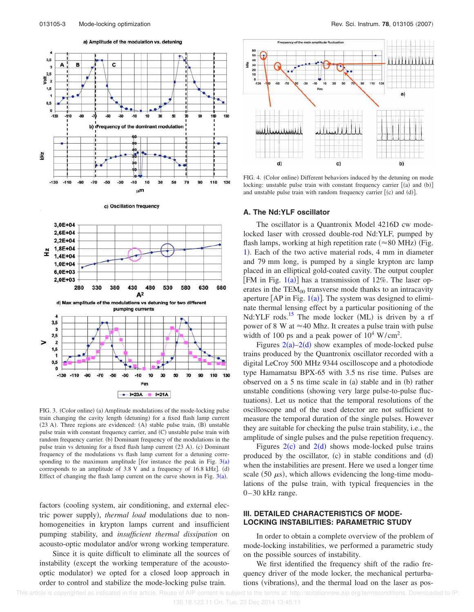



c) Oscillation frequency



FIG. 4. (Color online) Different behaviors induced by the detuning on mode locking: unstable pulse train with constant frequency carrier  $[(a)$  and  $(b)]$ and unstable pulse train with random frequency carrier  $[(c)$  and  $(d)]$ .

#### **A. The Nd:YLF oscillator**

The oscillator is a Quantronix Model 4216D cw modelocked laser with crossed double-rod Nd:YLF, pumped by flash lamps, working at high repetition rate ( $\approx$ 80 MHz) (Fig. 1). Each of the two active material rods, 4 mm in diameter and 79 mm long, is pumped by a single krypton arc lamp placed in an elliptical gold-coated cavity. The output coupler [FM in Fig.  $1(a)$ ] has a transmission of 12%. The laser operates in the  $TEM_{00}$  transverse mode thanks to an intracavity aperture  $[AP \text{ in Fig. 1(a)}]$ . The system was designed to eliminate thermal lensing effect by a particular positioning of the Nd:YLF rods.<sup>15</sup> The mode locker (ML) is driven by a rf power of 8 W at  $\approx$ 40 Mhz. It creates a pulse train with pulse width of 100 ps and a peak power of  $10^4$  W/cm<sup>2</sup>.

Figures  $2(a) - 2(d)$  show examples of mode-locked pulse trains produced by the Quantronix oscillator recorded with a digital LeCroy 500 MHz 9344 oscilloscope and a photodiode type Hamamatsu BPX-65 with 3.5 ns rise time. Pulses are observed on a  $5$  ns time scale in (a) stable and in (b) rather unstable conditions (showing very large pulse-to-pulse fluctuations). Let us notice that the temporal resolutions of the oscilloscope and of the used detector are not sufficient to measure the temporal duration of the single pulses. However they are suitable for checking the pulse train stability, i.e., the amplitude of single pulses and the pulse repetition frequency.

Figures  $2(c)$  and  $2(d)$  shows mode-locked pulse trains produced by the oscillator,  $(c)$  in stable conditions and  $(d)$ when the instabilities are present. Here we used a longer time scale (50  $\mu$ s), which allows evidencing the long-time modulations of the pulse train, with typical frequencies in the 0–30 kHz range.

## **III. DETAILED CHARACTERISTICS OF MODE-LOCKING INSTABILITIES: PARAMETRIC STUDY**

In order to obtain a complete overview of the problem of mode-locking instabilities, we performed a parametric study on the possible sources of instability.

We first identified the frequency shift of the radio frequency driver of the mode locker, the mechanical perturbations (vibrations), and the thermal load on the laser as pos-



FIG. 3. (Color online) (a) Amplitude modulations of the mode-locking pulse train changing the cavity length (detuning) for a fixed flash lamp current (23 A). Three regions are evidenced: (A) stable pulse train, (B) unstable pulse train with constant frequency carrier, and (C) unstable pulse train with random frequency carrier. (b) Dominant frequency of the modulations in the pulse train vs detuning for a fixed flash lamp current (23 A). (c) Dominant frequency of the modulations vs flash lamp current for a detuning corresponding to the maximum amplitude [for instance the peak in Fig.  $3(a)$ corresponds to an amplitude of  $3.8$  V and a frequency of  $16.8$  kHz]. (d) Effect of changing the flash lamp current on the curve shown in Fig.  $3(a)$ .

factors (cooling system, air conditioning, and external electric power supply), *thermal load* modulations due to nonhomogeneities in krypton lamps current and insufficient pumping stability, and *insufficient thermal dissipation* on acousto-optic modulator and/or wrong working temperature.

Since it is quite difficult to eliminate all the sources of instability (except the working temperature of the acoustooptic modulator) we opted for a closed loop approach in order to control and stabilize the mode-locking pulse train.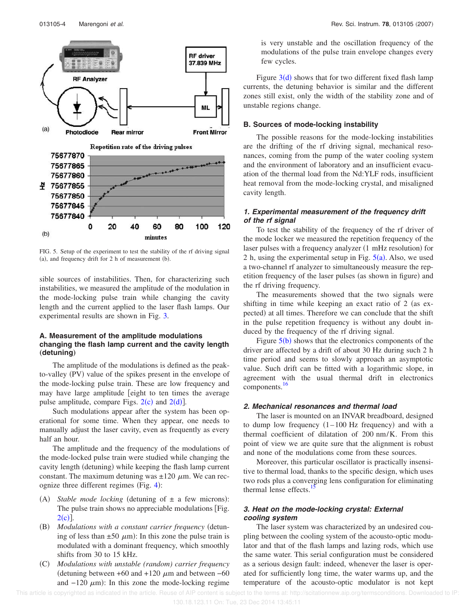

FIG. 5. Setup of the experiment to test the stability of the rf driving signal (a), and frequency drift for 2 h of measurement (b).

sible sources of instabilities. Then, for characterizing such instabilities, we measured the amplitude of the modulation in the mode-locking pulse train while changing the cavity length and the current applied to the laser flash lamps. Our experimental results are shown in Fig. 3.

## **A. Measurement of the amplitude modulations changing the flash lamp current and the cavity length** (detuning)

The amplitude of the modulations is defined as the peakto-valley (PV) value of the spikes present in the envelope of the mode-locking pulse train. These are low frequency and may have large amplitude [eight to ten times the average pulse amplitude, compare Figs.  $2(c)$  and  $2(d)$ ].

Such modulations appear after the system has been operational for some time. When they appear, one needs to manually adjust the laser cavity, even as frequently as every half an hour.

The amplitude and the frequency of the modulations of the mode-locked pulse train were studied while changing the cavity length (detuning) while keeping the flash lamp current constant. The maximum detuning was  $\pm 120 \mu$ m. We can recognize three different regimes (Fig.  $4$ ):

- (A) Stable mode locking (detuning of  $\pm$  a few microns): The pulse train shows no appreciable modulations [Fig.  $2(c)$ ].
- (B) Modulations with a constant carrier frequency (detuning of less than  $\pm 50 \mu$ m): In this zone the pulse train is modulated with a dominant frequency, which smoothly shifts from 30 to 15 kHz.
- $(C)$  *Modulations with unstable (random) carrier frequency* (detuning between +60 and +120  $μ$ m and between –60 and  $-120 \mu m$ ): In this zone the mode-locking regime

is very unstable and the oscillation frequency of the modulations of the pulse train envelope changes every few cycles.

Figure  $3(d)$  shows that for two different fixed flash lamp currents, the detuning behavior is similar and the different zones still exist, only the width of the stability zone and of unstable regions change.

#### **B. Sources of mode-locking instability**

The possible reasons for the mode-locking instabilities are the drifting of the rf driving signal, mechanical resonances, coming from the pump of the water cooling system and the environment of laboratory and an insufficient evacuation of the thermal load from the Nd:YLF rods, insufficient heat removal from the mode-locking crystal, and misaligned cavity length.

## *1. Experimental measurement of the frequency drift of the rf signal*

To test the stability of the frequency of the rf driver of the mode locker we measured the repetition frequency of the laser pulses with a frequency analyzer (1 mHz resolution) for 2 h, using the experimental setup in Fig.  $5(a)$ . Also, we used a two-channel rf analyzer to simultaneously measure the repetition frequency of the laser pulses (as shown in figure) and the rf driving frequency.

The measurements showed that the two signals were shifting in time while keeping an exact ratio of  $2$  (as expected) at all times. Therefore we can conclude that the shift in the pulse repetition frequency is without any doubt induced by the frequency of the rf driving signal.

Figure  $5(b)$  shows that the electronics components of the driver are affected by a drift of about 30 Hz during such 2 h time period and seems to slowly approach an asymptotic value. Such drift can be fitted with a logarithmic slope, in agreement with the usual thermal drift in electronics components.<sup>16</sup>

#### *2. Mechanical resonances and thermal load*

The laser is mounted on an INVAR breadboard, designed to dump low frequency  $(1-100 \text{ Hz}$  frequency) and with a thermal coefficient of dilatation of 200 nm/K. From this point of view we are quite sure that the alignment is robust and none of the modulations come from these sources.

Moreover, this particular oscillator is practically insensitive to thermal load, thanks to the specific design, which uses two rods plus a converging lens configuration for eliminating thermal lense effects.

## *3. Heat on the mode-locking crystal: External cooling system*

The laser system was characterized by an undesired coupling between the cooling system of the acousto-optic modulator and that of the flash lamps and lazing rods, which use the same water. This serial configuration must be considered as a serious design fault: indeed, whenever the laser is operated for sufficiently long time, the water warms up, and the temperature of the acousto-optic modulator is not kept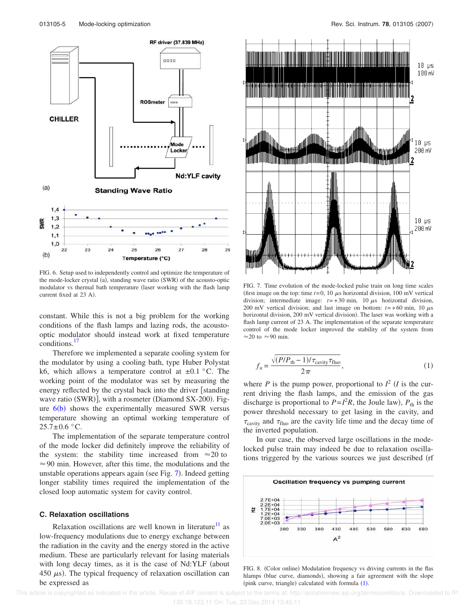

FIG. 6. Setup used to independently control and optimize the temperature of the mode-locker crystal (a), standing wave ratio (SWR) of the acousto-optic modulator vs thermal bath temperature (laser working with the flash lamp current fixed at 23 A).

constant. While this is not a big problem for the working conditions of the flash lamps and lazing rods, the acoustooptic modulator should instead work at fixed temperature conditions.<sup>17</sup>

Therefore we implemented a separate cooling system for the modulator by using a cooling bath, type Huber Polystat k6, which allows a temperature control at  $\pm 0.1$  °C. The working point of the modulator was set by measuring the energy reflected by the crystal back into the driver  $\lceil$  standing wave ratio (SWR)], with a rosmeter (Diamond SX-200). Figure  $6(b)$  shows the experimentally measured SWR versus temperature showing an optimal working temperature of  $25.7 \pm 0.6$  °C.

The implementation of the separate temperature control of the mode locker did definitely improve the reliability of the system: the stability time increased from  $\approx 20$  to  $\approx$  90 min. However, after this time, the modulations and the unstable operations appears again (see Fig. 7). Indeed getting longer stability times required the implementation of the closed loop automatic system for cavity control.

## **C. Relaxation oscillations**

Relaxation oscillations are well known in literature $1/1$  as low-frequency modulations due to energy exchange between the radiation in the cavity and the energy stored in the active medium. These are particularly relevant for lasing materials with long decay times, as it is the case of Nd:YLF (about 450  $\mu$ s). The typical frequency of relaxation oscillation can be expressed as



FIG. 7. Time evolution of the mode-locked pulse train on long time scales (first image on the top: time  $t=0$ , 10  $\mu$ s horizontal division, 100 mV vertical division; intermediate image:  $t=+30$  min, 10  $\mu$ s horizontal division, 200 mV vertical division; and last image on bottom:  $t=+60$  min, 10  $\mu$ s horizontal division, 200 mV vertical division). The laser was working with a flash lamp current of 23 A. The implementation of the separate temperature control of the mode locker improved the stability of the system from  $\approx$  20 to  $\approx$  90 min.

$$
f_n = \frac{\sqrt{(P/P_{\text{th}} - 1)/\tau_{\text{cavity}}\tau_{\text{fluo}}}}{2\pi},\tag{1}
$$

where *P* is the pump power, proportional to  $I^2$  (*I* is the current driving the flash lamps, and the emission of the gas discharge is proportional to  $P = I^2 R$ , the Joule law),  $P_{th}$  is the power threshold necessary to get lasing in the cavity, and  $\tau_{\text{cavity}}$  and  $\tau_{\text{fluo}}$  are the cavity life time and the decay time of the inverted population.

In our case, the observed large oscillations in the modelocked pulse train may indeed be due to relaxation oscillations triggered by the various sources we just described (rf



FIG. 8. (Color online) Modulation frequency vs driving currents in the flas hlamps (blue curve, diamonds), showing a fair agreement with the slope (pink curve, triangle) calculated with formula  $(1)$ .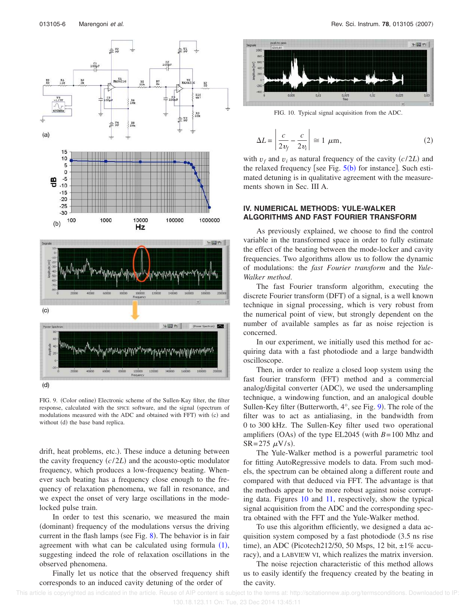

 $(d)$ 

FIG. 9. (Color online) Electronic scheme of the Sullen-Kay filter, the filter response, calculated with the SPICE software, and the signal (spectrum of modulations measured with the ADC and obtained with FFT) with (c) and without (d) the base band replica.

drift, heat problems, etc.). These induce a detuning between the cavity frequency  $(c/2L)$  and the acousto-optic modulator frequency, which produces a low-frequency beating. Whenever such beating has a frequency close enough to the frequency of relaxation phenomena, we fall in resonance, and we expect the onset of very large oscillations in the modelocked pulse train.

In order to test this scenario, we measured the main (dominant) frequency of the modulations versus the driving current in the flash lamps (see Fig.  $8$ ). The behavior is in fair agreement with what can be calculated using formula  $(1)$ , suggesting indeed the role of relaxation oscillations in the observed phenomena.

Finally let us notice that the observed frequency shift corresponds to an induced cavity detuning of the order of



FIG. 10. Typical signal acquisition from the ADC.

$$
\Delta L = \left| \frac{c}{2v_f} - \frac{c}{2v_i} \right| \approx 1 \ \mu \text{m},\tag{2}
$$

with  $v_f$  and  $v_i$  as natural frequency of the cavity  $(c/2L)$  and the relaxed frequency [see Fig.  $5(b)$  for instance]. Such estimated detuning is in qualitative agreement with the measurements shown in Sec. III A.

## **IV. NUMERICAL METHODS: YULE-WALKER ALGORITHMS AND FAST FOURIER TRANSFORM**

As previously explained, we choose to find the control variable in the transformed space in order to fully estimate the effect of the beating between the mode-locker and cavity frequencies. Two algorithms allow us to follow the dynamic of modulations: the *fast Fourier transform* and the *Yule-Walker method*.

The fast Fourier transform algorithm, executing the discrete Fourier transform (DFT) of a signal, is a well known technique in signal processing, which is very robust from the numerical point of view, but strongly dependent on the number of available samples as far as noise rejection is concerned.

In our experiment, we initially used this method for acquiring data with a fast photodiode and a large bandwidth oscilloscope.

Then, in order to realize a closed loop system using the fast fourier transform (FFT) method and a commercial analog/digital converter (ADC), we used the undersampling technique, a windowing function, and an analogical double Sullen-Key filter (Butterworth,  $4^{\circ}$ , see Fig. 9). The role of the filter was to act as antialiasing, in the bandwidth from 0 to 300 kHz. The Sullen-Key filter used two operational amplifiers  $(OAs)$  of the type EL2045 (with  $B=100$  Mhz and  $SR = 275 \, \mu V/s$ .

The Yule-Walker method is a powerful parametric tool for fitting AutoRegressive models to data. From such models, the spectrum can be obtained along a different route and compared with that deduced via FFT. The advantage is that the methods appear to be more robust against noise corrupting data. Figures 10 and 11, respectively, show the typical signal acquisition from the ADC and the corresponding spectra obtained with the FFT and the Yule-Walker method.

To use this algorithm efficiently, we designed a data acquisition system composed by a fast photodiode (3.5 ns rise time), an ADC (Picotech212/50, 50 Msps, 12 bit,  $\pm 1\%$  accuracy), and a LABVIEW VI, which realizes the matrix inversion.

The noise rejection characteristic of this method allows us to easily identify the frequency created by the beating in the cavity.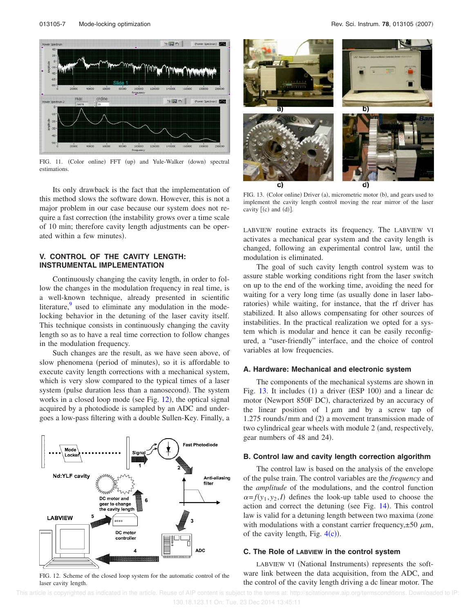

FIG. 11. (Color online) FFT (up) and Yule-Walker (down) spectral estimations.

Its only drawback is the fact that the implementation of this method slows the software down. However, this is not a major problem in our case because our system does not require a fast correction (the instability grows over a time scale of 10 min; therefore cavity length adjustments can be operated within a few minutes).

## **V. CONTROL OF THE CAVITY LENGTH: INSTRUMENTAL IMPLEMENTATION**

Continuously changing the cavity length, in order to follow the changes in the modulation frequency in real time, is a well-known technique, already presented in scientific literature, $9$  used to eliminate any modulation in the modelocking behavior in the detuning of the laser cavity itself. This technique consists in continuously changing the cavity length so as to have a real time correction to follow changes in the modulation frequency.

Such changes are the result, as we have seen above, of slow phenomena (period of minutes), so it is affordable to execute cavity length corrections with a mechanical system, which is very slow compared to the typical times of a laser system (pulse duration less than a nanosecond). The system works in a closed loop mode (see Fig. 12), the optical signal acquired by a photodiode is sampled by an ADC and undergoes a low-pass filtering with a double Sullen-Key. Finally, a



FIG. 12. Scheme of the closed loop system for the automatic control of the laser cavity length.



FIG. 13. (Color online) Driver (a), micrometric motor (b), and gears used to implement the cavity length control moving the rear mirror of the laser cavity  $[(c)$  and  $(d)]$ .

LABVIEW routine extracts its frequency. The LABVIEW VI activates a mechanical gear system and the cavity length is changed, following an experimental control law, until the modulation is eliminated.

The goal of such cavity length control system was to assure stable working conditions right from the laser switch on up to the end of the working time, avoiding the need for waiting for a very long time (as usually done in laser laboratories) while waiting, for instance, that the rf driver has stabilized. It also allows compensating for other sources of instabilities. In the practical realization we opted for a system which is modular and hence it can be easily reconfigured, a "user-friendly" interface, and the choice of control variables at low frequencies.

#### **A. Hardware: Mechanical and electronic system**

The components of the mechanical systems are shown in Fig.  $13$ . It includes  $(1)$  a driver  $(ESP 100)$  and a linear dc motor (Newport 850F DC), characterized by an accuracy of the linear position of  $1 \mu m$  and by a screw tap of  $1.275$  rounds/mm and  $(2)$  a movement transmission made of two cylindrical gear wheels with module 2 (and, respectively, gear numbers of 48 and 24).

#### **B. Control law and cavity length correction algorithm**

The control law is based on the analysis of the envelope of the pulse train. The control variables are the *frequency* and the *amplitude* of the modulations, and the control function  $\alpha = f(y_1, y_2, I)$  defines the look-up table used to choose the action and correct the detuning (see Fig. 14). This control law is valid for a detuning length between two maxima (zone with modulations with a constant carrier frequency, $\pm 50 \mu m$ , of the cavity length, Fig.  $4(c)$ ).

#### **C. The Role of LABVIEW in the control system**

LABVIEW VI (National Instruments) represents the software link between the data acquisition, from the ADC, and the control of the cavity length driving a dc linear motor. The

This article is copyrighted as indicated in the article. Reuse of AIP content is subject to the terms at: http://scitationnew.aip.org/termsconditions. Downloaded to IP: 130.18.123.11 On: Tue, 23 Dec 2014 13:45:11